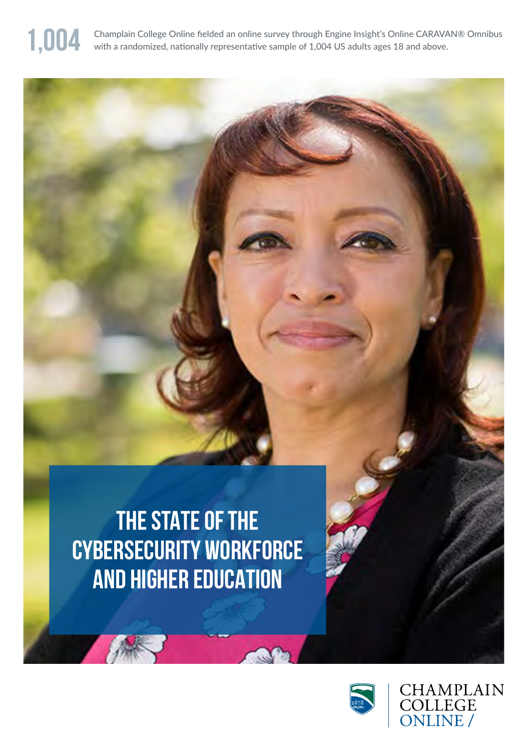

1,004 Champlain College Online fielded an online survey through Engine Insight's Online CARAVAN® Omnibus with a randomized, nationally representative sample of 1,004 US adults ages 18 and above.

# **THE STATE OF THE CYBERSECURITY WORKFORCE AND HIGHER EDUCATION**



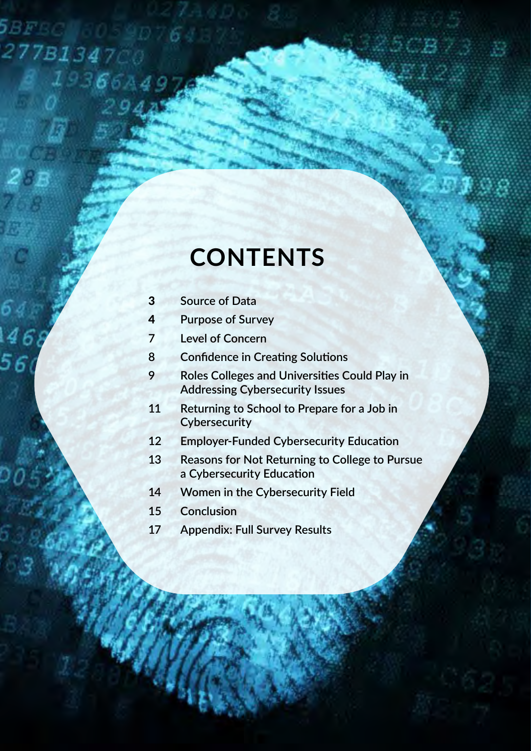# **CONTENTS**

3 **Source of Data**

58

5

277B1347

 $19366A4$ 

- 4 **Purpose of Survey**
- **7 Level of Concern**
- **8 Confidence in Creating Solutions**
- **9 Roles Colleges and Universities Could Play in Addressing Cybersecurity Issues**
- **11 Returning to School to Prepare for a Job in Cybersecurity**
- **12 Employer-Funded Cybersecurity Education**
- **13 Reasons for Not Returning to College to Pursue a Cybersecurity Education**
- **14 Women in the Cybersecurity Field**
- **15 Conclusion**
- **17 Appendix: Full Survey Results**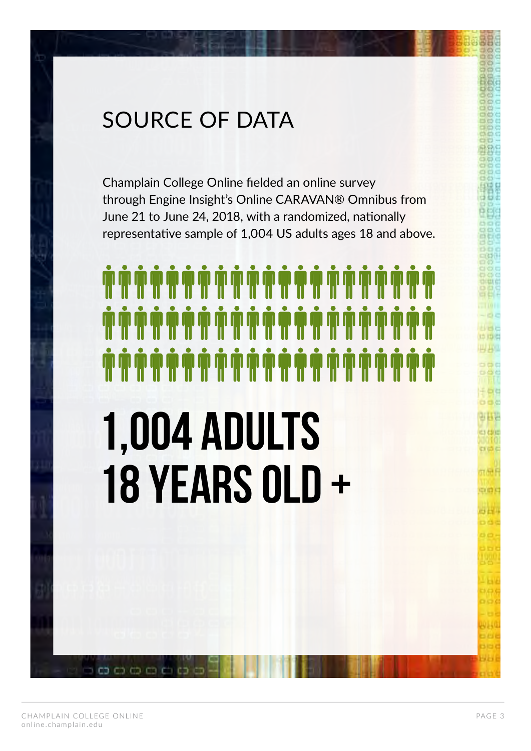# SOURCE OF DATA

Champlain College Online fielded an online survey through Engine Insight's Online CARAVAN® Omnibus from June 21 to June 24, 2018, with a randomized, nationally representative sample of 1,004 US adults ages 18 and above.

# **1,004 ADULTS 18 Years OLD +**

ප ක් අ

**TIARE** 

am c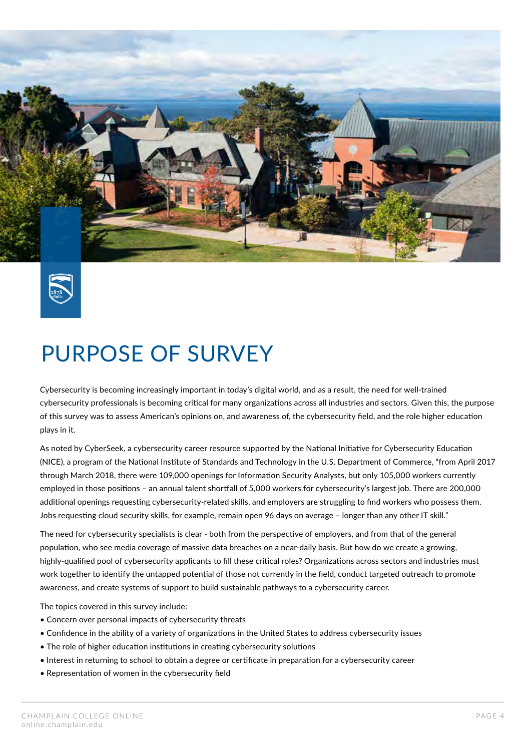



# PURPOSE OF SURVEY

Cybersecurity is becoming increasingly important in today's digital world, and as a result, the need for well-trained cybersecurity professionals is becoming critical for many organizations across all industries and sectors. Given this, the purpose of this survey was to assess American's opinions on, and awareness of, the cybersecurity field, and the role higher education plays in it.

As noted by CyberSeek, a cybersecurity career resource supported by the National Initiative for Cybersecurity Education (NICE), a program of the National Institute of Standards and Technology in the U.S. Department of Commerce, "from April 2017 through March 2018, there were 109,000 openings for Information Security Analysts, but only 105,000 workers currently employed in those positions – an annual talent shortfall of 5,000 workers for cybersecurity's largest job. There are 200,000 additional openings requesting cybersecurity-related skills, and employers are struggling to find workers who possess them. Jobs requesting cloud security skills, for example, remain open 96 days on average – longer than any other IT skill."

The need for cybersecurity specialists is clear - both from the perspective of employers, and from that of the general population, who see media coverage of massive data breaches on a near-daily basis. But how do we create a growing, highly-qualified pool of cybersecurity applicants to fill these critical roles? Organizations across sectors and industries must work together to identify the untapped potential of those not currently in the field, conduct targeted outreach to promote awareness, and create systems of support to build sustainable pathways to a cybersecurity career.

The topics covered in this survey include:

- Concern over personal impacts of cybersecurity threats
- Confidence in the ability of a variety of organizations in the United States to address cybersecurity issues
- The role of higher education institutions in creating cybersecurity solutions
- Interest in returning to school to obtain a degree or certificate in preparation for a cybersecurity career
- Representation of women in the cybersecurity field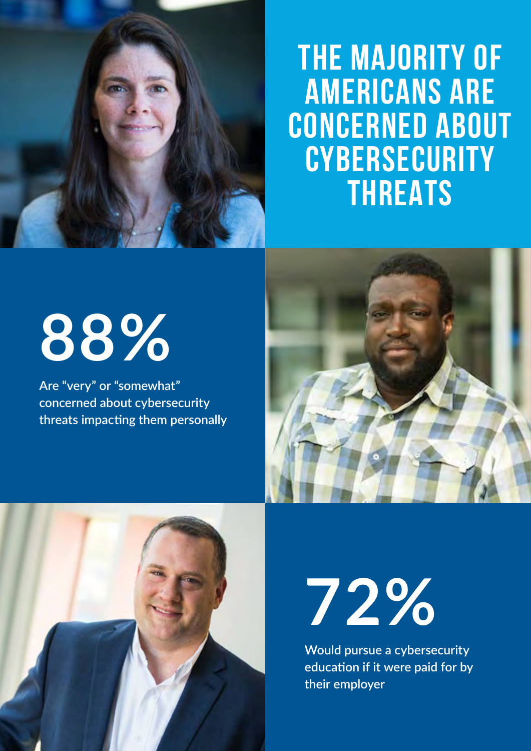

# **THE MAJORITY OF AMERICANS ARE CONCERNED ABOUT CYBERSECURITY THREATS**

# **88%**

**Are "very" or "somewhat" concerned about cybersecurity threats impacting them personally**







**Would pursue a cybersecurity education if it were paid for by their employer**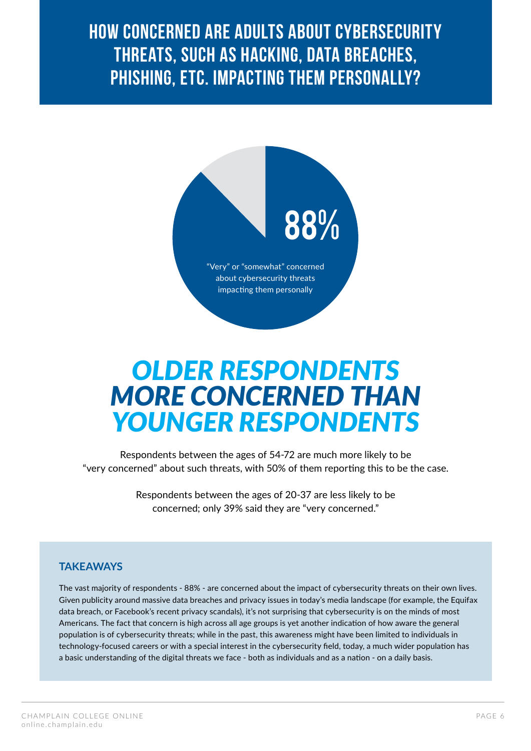**HOW CONCERNED ARE ADULTS ABOUT CYBERSECURITY THREATS, SUCH AS HACKING, DATA BREACHES, PHISHING, ETC. IMPACTING THEM PERSONALLY?**



# *OLDER RESPONDENTS MORE CONCERNED THAN YOUNGER RESPONDENTS*

Respondents between the ages of 54-72 are much more likely to be "very concerned" about such threats, with 50% of them reporting this to be the case.

> Respondents between the ages of 20-37 are less likely to be concerned; only 39% said they are "very concerned."

#### **TAKEAWAYS**

The vast majority of respondents - 88% - are concerned about the impact of cybersecurity threats on their own lives. Given publicity around massive data breaches and privacy issues in today's media landscape (for example, the Equifax data breach, or Facebook's recent privacy scandals), it's not surprising that cybersecurity is on the minds of most Americans. The fact that concern is high across all age groups is yet another indication of how aware the general population is of cybersecurity threats; while in the past, this awareness might have been limited to individuals in technology-focused careers or with a special interest in the cybersecurity field, today, a much wider population has a basic understanding of the digital threats we face - both as individuals and as a nation - on a daily basis.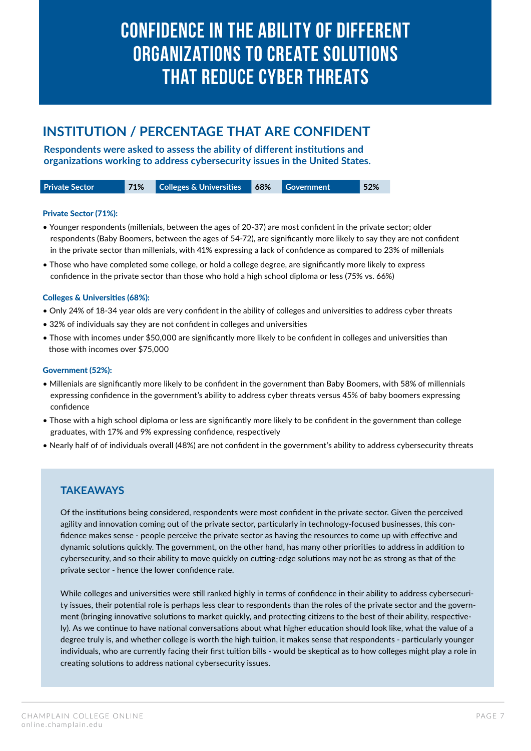## **CONFIDENCE IN THE ABILITY OF DIFFERENT ORGANIZATIONS TO CREATE SOLUTIONS THAT REDUCE CYBER THREATS**

#### **INSTITUTION / PERCENTAGE THAT ARE CONFIDENT**

**Respondents were asked to assess the ability of different institutions and organizations working to address cybersecurity issues in the United States.**

| <b>Private Sector</b> | 71% | <b>Colleges &amp; Universities 68%</b> | <b>Government</b> | 52% |
|-----------------------|-----|----------------------------------------|-------------------|-----|
|                       |     |                                        |                   |     |

#### Private Sector (71%):

- Younger respondents (millenials, between the ages of 20-37) are most confident in the private sector; older respondents (Baby Boomers, between the ages of 54-72), are significantly more likely to say they are not confident in the private sector than millenials, with 41% expressing a lack of confidence as compared to 23% of millenials
- Those who have completed some college, or hold a college degree, are significantly more likely to express confidence in the private sector than those who hold a high school diploma or less (75% vs. 66%)

#### Colleges & Universities (68%):

- Only 24% of 18-34 year olds are very confident in the ability of colleges and universities to address cyber threats
- 32% of individuals say they are not confident in colleges and universities
- Those with incomes under \$50,000 are significantly more likely to be confident in colleges and universities than those with incomes over \$75,000

#### Government (52%):

- Millenials are significantly more likely to be confident in the government than Baby Boomers, with 58% of millennials expressing confidence in the government's ability to address cyber threats versus 45% of baby boomers expressing confidence
- Those with a high school diploma or less are significantly more likely to be confident in the government than college graduates, with 17% and 9% expressing confidence, respectively
- Nearly half of of individuals overall (48%) are not confident in the government's ability to address cybersecurity threats

#### **TAKEAWAYS**

Of the institutions being considered, respondents were most confident in the private sector. Given the perceived agility and innovation coming out of the private sector, particularly in technology-focused businesses, this confidence makes sense - people perceive the private sector as having the resources to come up with effective and dynamic solutions quickly. The government, on the other hand, has many other priorities to address in addition to cybersecurity, and so their ability to move quickly on cutting-edge solutions may not be as strong as that of the private sector - hence the lower confidence rate.

While colleges and universities were still ranked highly in terms of confidence in their ability to address cybersecurity issues, their potential role is perhaps less clear to respondents than the roles of the private sector and the government (bringing innovative solutions to market quickly, and protecting citizens to the best of their ability, respectively). As we continue to have national conversations about what higher education should look like, what the value of a degree truly is, and whether college is worth the high tuition, it makes sense that respondents - particularly younger individuals, who are currently facing their first tuition bills - would be skeptical as to how colleges might play a role in creating solutions to address national cybersecurity issues.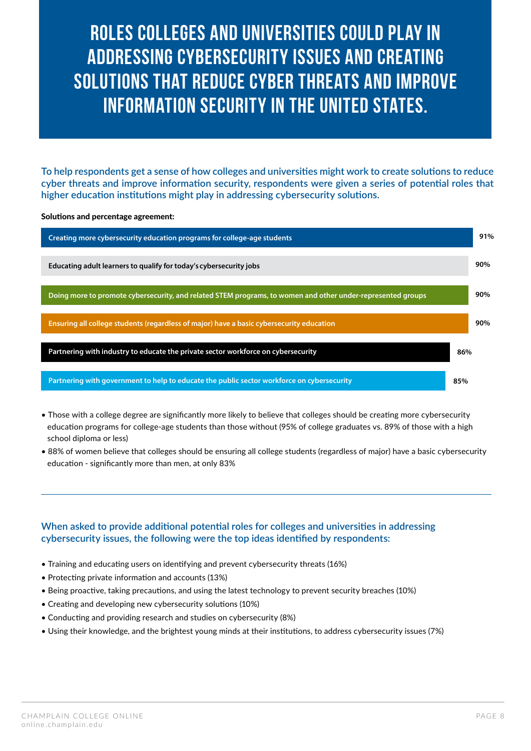# **ROLES COLLEGES AND UNIVERSITIES COULD PLAY IN ADDRESSING CYBERSECURITY ISSUES AND CREATING SOLUTIONS THAT REDUCE CYBER THREATS AND IMPROVE INFORMATION SECURITY IN THE UNITED STATES.**

To help respondents get a sense of how colleges and universities might work to create solutions to reduce **cyber threats and improve information security, respondents were given a series of potential roles that higher education institutions might play in addressing cybersecurity solutions.**

Solutions and percentage agreement:



- Those with a college degree are significantly more likely to believe that colleges should be creating more cybersecurity education programs for college-age students than those without (95% of college graduates vs. 89% of those with a high school diploma or less)
- 88% of women believe that colleges should be ensuring all college students (regardless of major) have a basic cybersecurity education - significantly more than men, at only 83%

#### **When asked to provide additional potential roles for colleges and universities in addressing cybersecurity issues, the following were the top ideas identified by respondents:**

- Training and educating users on identifying and prevent cybersecurity threats (16%)
- Protecting private information and accounts (13%)
- Being proactive, taking precautions, and using the latest technology to prevent security breaches (10%)
- Creating and developing new cybersecurity solutions (10%)
- Conducting and providing research and studies on cybersecurity (8%)
- Using their knowledge, and the brightest young minds at their institutions, to address cybersecurity issues (7%)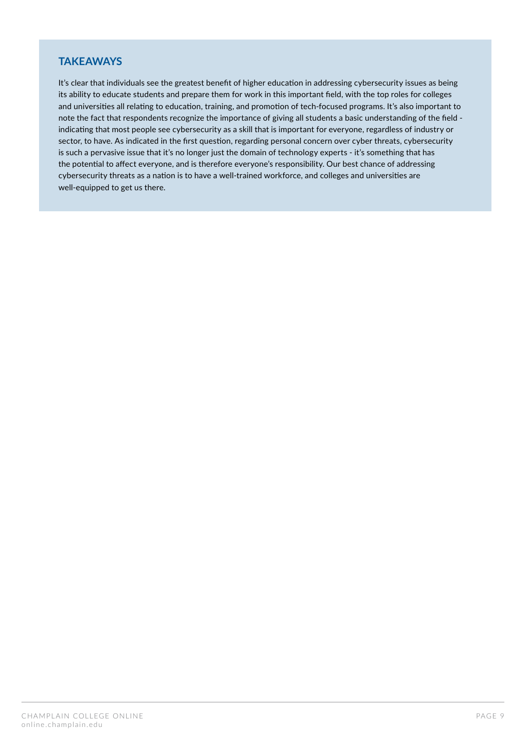#### **TAKEAWAYS**

It's clear that individuals see the greatest benefit of higher education in addressing cybersecurity issues as being its ability to educate students and prepare them for work in this important field, with the top roles for colleges and universities all relating to education, training, and promotion of tech-focused programs. It's also important to note the fact that respondents recognize the importance of giving all students a basic understanding of the field indicating that most people see cybersecurity as a skill that is important for everyone, regardless of industry or sector, to have. As indicated in the first question, regarding personal concern over cyber threats, cybersecurity is such a pervasive issue that it's no longer just the domain of technology experts - it's something that has the potential to affect everyone, and is therefore everyone's responsibility. Our best chance of addressing cybersecurity threats as a nation is to have a well-trained workforce, and colleges and universities are well-equipped to get us there.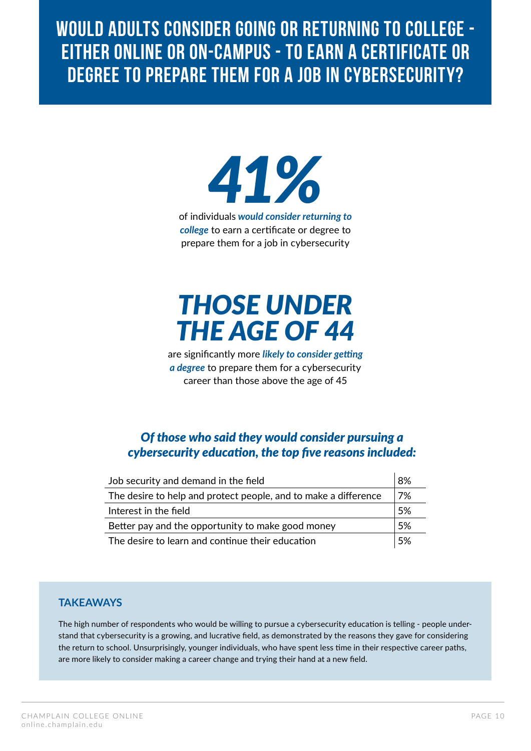**WOULD ADULTS CONSIDER GOING OR RETURNING TO COLLEGE - EITHER ONLINE OR ON-CAMPUS - TO EARN A CERTIFICATE OR DEGREE TO PREPARE THEM FOR A JOB IN CYBERSECURITY?**



*college* to earn a certificate or degree to prepare them for a job in cybersecurity

# *THOSE UNDER THE AGE OF 44*

are significantly more *likely to consider getting a degree* to prepare them for a cybersecurity career than those above the age of 45

#### *Of those who said they would consider pursuing a cybersecurity education, the top five reasons included:*

| Job security and demand in the field                            | 8%  |
|-----------------------------------------------------------------|-----|
| The desire to help and protect people, and to make a difference | 7%  |
| Interest in the field                                           | .5% |
| Better pay and the opportunity to make good money               | 5%  |
| The desire to learn and continue their education                | .5% |

#### **TAKEAWAYS**

The high number of respondents who would be willing to pursue a cybersecurity education is telling - people understand that cybersecurity is a growing, and lucrative field, as demonstrated by the reasons they gave for considering the return to school. Unsurprisingly, younger individuals, who have spent less time in their respective career paths, are more likely to consider making a career change and trying their hand at a new field.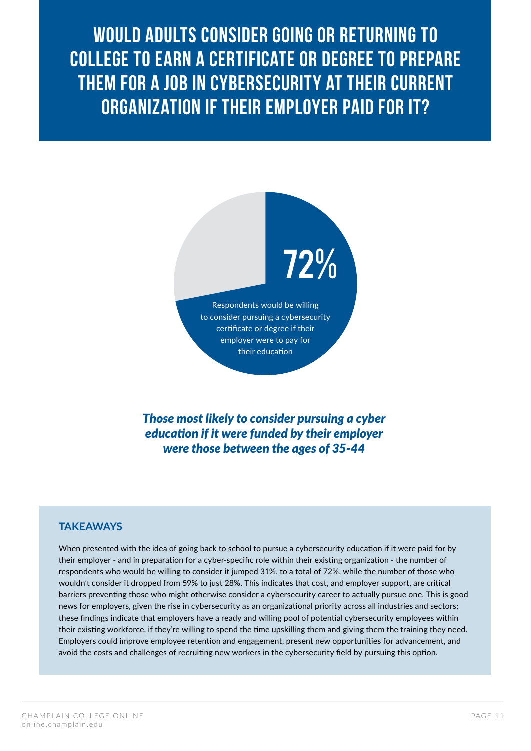**WOULD ADULTS CONSIDER GOING OR RETURNING TO COLLEGE TO EARN A CERTIFICATE OR DEGREE TO PREPARE THEM FOR A JOB IN CYBERSECURITY AT THEIR CURRENT ORGANIZATION IF THEIR EMPLOYER PAID FOR IT?**



*Those most likely to consider pursuing a cyber education if it were funded by their employer were those between the ages of 35-44*

#### **TAKEAWAYS**

When presented with the idea of going back to school to pursue a cybersecurity education if it were paid for by their employer - and in preparation for a cyber-specific role within their existing organization - the number of respondents who would be willing to consider it jumped 31%, to a total of 72%, while the number of those who wouldn't consider it dropped from 59% to just 28%. This indicates that cost, and employer support, are critical barriers preventing those who might otherwise consider a cybersecurity career to actually pursue one. This is good news for employers, given the rise in cybersecurity as an organizational priority across all industries and sectors; these findings indicate that employers have a ready and willing pool of potential cybersecurity employees within their existing workforce, if they're willing to spend the time upskilling them and giving them the training they need. Employers could improve employee retention and engagement, present new opportunities for advancement, and avoid the costs and challenges of recruiting new workers in the cybersecurity field by pursuing this option.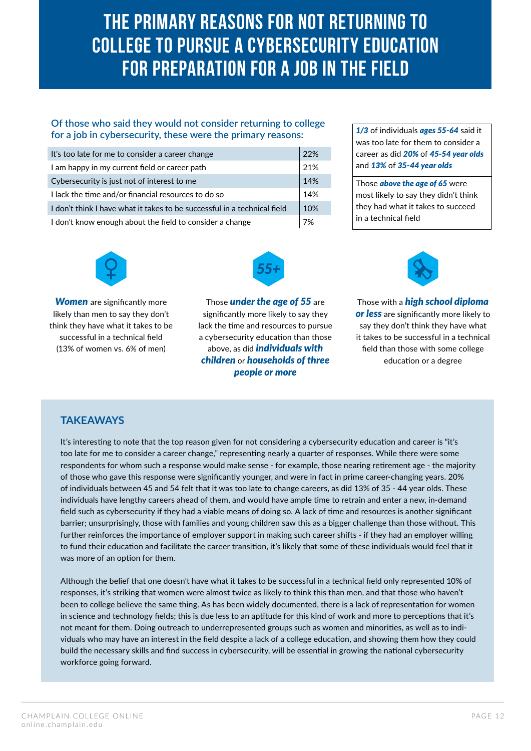# **THE PRIMARY REASONS FOR NOT RETURNING TO COLLEGE TO PURSUE A CYBERSECURITY EDUCATION FOR PREPARATION FOR A JOB IN THE FIELD**

#### **Of those who said they would not consider returning to college for a job in cybersecurity, these were the primary reasons:**

| It's too late for me to consider a career change                         | 22% |
|--------------------------------------------------------------------------|-----|
| I am happy in my current field or career path                            | 21% |
| Cybersecurity is just not of interest to me                              | 14% |
| I lack the time and/or financial resources to do so                      | 14% |
| I don't think I have what it takes to be successful in a technical field | 10% |
| I don't know enough about the field to consider a change                 | 7%  |

*1/3* of individuals *ages 55-64* said it was too late for them to consider a career as did *20%* of *45-54 year olds* and *13%* of *35-44 year olds*

Those *above the age of 65* were most likely to say they didn't think they had what it takes to succeed in a technical field



*Women* are significantly more likely than men to say they don't think they have what it takes to be successful in a technical field (13% of women vs. 6% of men)



Those *under the age of 55* are significantly more likely to say they lack the time and resources to pursue a cybersecurity education than those above, as did *individuals with children* or *households of three people or more*



Those with a *high school diploma or less* are significantly more likely to say they don't think they have what it takes to be successful in a technical field than those with some college education or a degree

#### **TAKEAWAYS**

It's interesting to note that the top reason given for not considering a cybersecurity education and career is "it's too late for me to consider a career change," representing nearly a quarter of responses. While there were some respondents for whom such a response would make sense - for example, those nearing retirement age - the majority of those who gave this response were significantly younger, and were in fact in prime career-changing years. 20% of individuals between 45 and 54 felt that it was too late to change careers, as did 13% of 35 - 44 year olds. These individuals have lengthy careers ahead of them, and would have ample time to retrain and enter a new, in-demand field such as cybersecurity if they had a viable means of doing so. A lack of time and resources is another significant barrier; unsurprisingly, those with families and young children saw this as a bigger challenge than those without. This further reinforces the importance of employer support in making such career shifts - if they had an employer willing to fund their education and facilitate the career transition, it's likely that some of these individuals would feel that it was more of an option for them.

Although the belief that one doesn't have what it takes to be successful in a technical field only represented 10% of responses, it's striking that women were almost twice as likely to think this than men, and that those who haven't been to college believe the same thing. As has been widely documented, there is a lack of representation for women in science and technology fields; this is due less to an aptitude for this kind of work and more to perceptions that it's not meant for them. Doing outreach to underrepresented groups such as women and minorities, as well as to individuals who may have an interest in the field despite a lack of a college education, and showing them how they could build the necessary skills and find success in cybersecurity, will be essential in growing the national cybersecurity workforce going forward.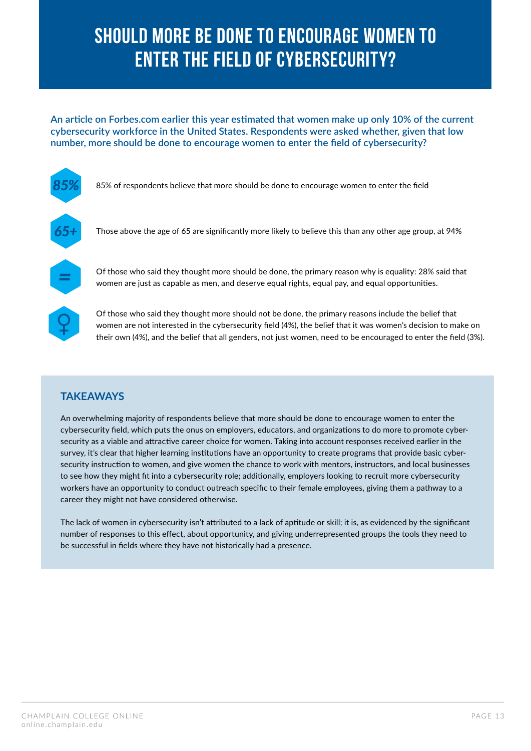# **SHOULD MORE BE DONE TO ENCOURAGE WOMEN TO ENTER THE FIELD OF CYBERSECURITY?**

**An article on Forbes.com earlier this year estimated that women make up only 10% of the current cybersecurity workforce in the United States. Respondents were asked whether, given that low number, more should be done to encourage women to enter the field of cybersecurity?**



#### **TAKEAWAYS**

An overwhelming majority of respondents believe that more should be done to encourage women to enter the cybersecurity field, which puts the onus on employers, educators, and organizations to do more to promote cybersecurity as a viable and attractive career choice for women. Taking into account responses received earlier in the survey, it's clear that higher learning institutions have an opportunity to create programs that provide basic cybersecurity instruction to women, and give women the chance to work with mentors, instructors, and local businesses to see how they might fit into a cybersecurity role; additionally, employers looking to recruit more cybersecurity workers have an opportunity to conduct outreach specific to their female employees, giving them a pathway to a career they might not have considered otherwise.

The lack of women in cybersecurity isn't attributed to a lack of aptitude or skill; it is, as evidenced by the significant number of responses to this effect, about opportunity, and giving underrepresented groups the tools they need to be successful in fields where they have not historically had a presence.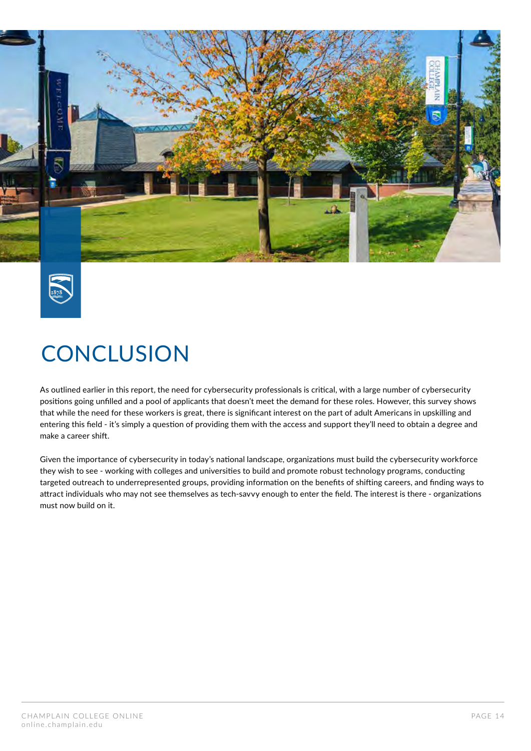



# **CONCLUSION**

As outlined earlier in this report, the need for cybersecurity professionals is critical, with a large number of cybersecurity positions going unfilled and a pool of applicants that doesn't meet the demand for these roles. However, this survey shows that while the need for these workers is great, there is significant interest on the part of adult Americans in upskilling and entering this field - it's simply a question of providing them with the access and support they'll need to obtain a degree and make a career shift.

Given the importance of cybersecurity in today's national landscape, organizations must build the cybersecurity workforce they wish to see - working with colleges and universities to build and promote robust technology programs, conducting targeted outreach to underrepresented groups, providing information on the benefits of shifting careers, and finding ways to attract individuals who may not see themselves as tech-savvy enough to enter the field. The interest is there - organizations must now build on it.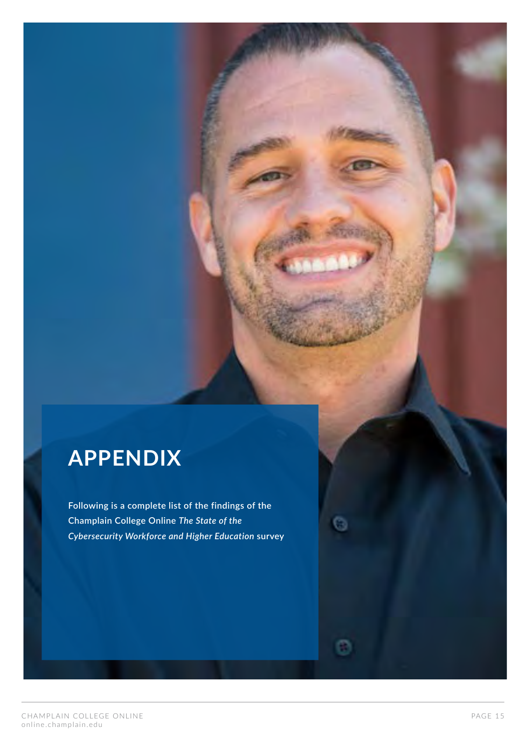# **APPENDIX**

**Following is a complete list of the findings of the Champlain College Online** *The State of the Cybersecurity Workforce and Higher Education* **survey**

o.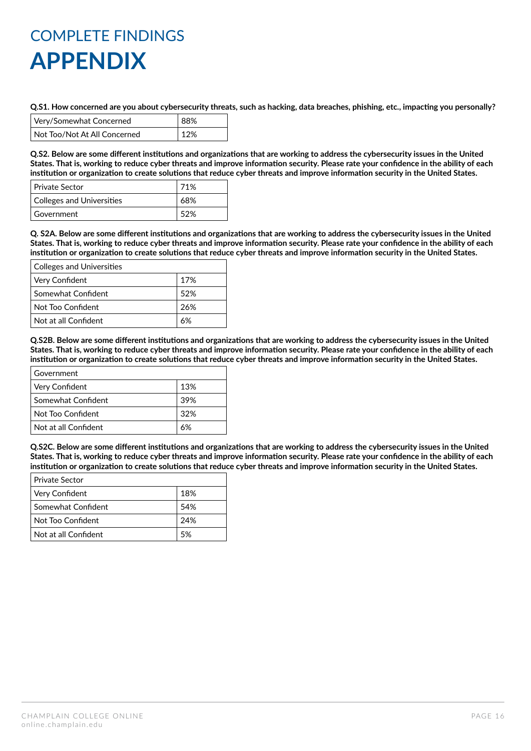**Q.S1. How concerned are you about cybersecurity threats, such as hacking, data breaches, phishing, etc., impacting you personally?**

| Very/Somewhat Concerned      | 88% |
|------------------------------|-----|
| Not Too/Not At All Concerned | 12% |

**Q.S2. Below are some different institutions and organizations that are working to address the cybersecurity issues in the United States. That is, working to reduce cyber threats and improve information security. Please rate your confidence in the ability of each institution or organization to create solutions that reduce cyber threats and improve information security in the United States.**

| Private Sector            | 71% |
|---------------------------|-----|
| Colleges and Universities | 68% |
| Government                | 52% |

**Q. S2A. Below are some different institutions and organizations that are working to address the cybersecurity issues in the United States. That is, working to reduce cyber threats and improve information security. Please rate your confidence in the ability of each institution or organization to create solutions that reduce cyber threats and improve information security in the United States.**

| <b>Colleges and Universities</b> |     |
|----------------------------------|-----|
| Very Confident                   | 17% |
| Somewhat Confident               | 52% |
| Not Too Confident                | 26% |
| Not at all Confident             | 6%  |

**Q.S2B. Below are some different institutions and organizations that are working to address the cybersecurity issues in the United States. That is, working to reduce cyber threats and improve information security. Please rate your confidence in the ability of each institution or organization to create solutions that reduce cyber threats and improve information security in the United States.**

| Government           |     |
|----------------------|-----|
| Very Confident       | 13% |
| Somewhat Confident   | 39% |
| Not Too Confident    | 32% |
| Not at all Confident | 6%  |

**Q.S2C. Below are some different institutions and organizations that are working to address the cybersecurity issues in the United States. That is, working to reduce cyber threats and improve information security. Please rate your confidence in the ability of each institution or organization to create solutions that reduce cyber threats and improve information security in the United States.**

| <b>Private Sector</b> |      |
|-----------------------|------|
| Very Confident        | 18%  |
| Somewhat Confident    | .54% |
| Not Too Confident     | 24%  |
| Not at all Confident  | 5%   |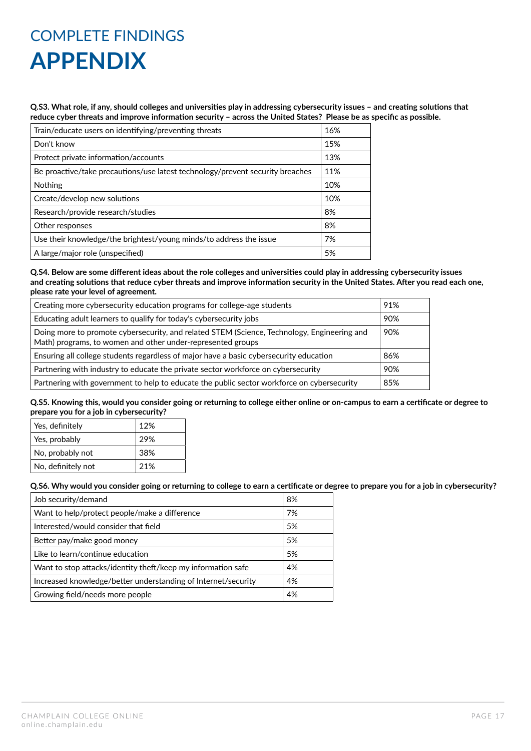**Q.S3. What role, if any, should colleges and universities play in addressing cybersecurity issues – and creating solutions that reduce cyber threats and improve information security – across the United States? Please be as specific as possible.**

| Train/educate users on identifying/preventing threats                         |     |
|-------------------------------------------------------------------------------|-----|
| Don't know                                                                    | 15% |
| Protect private information/accounts                                          | 13% |
| Be proactive/take precautions/use latest technology/prevent security breaches | 11% |
| <b>Nothing</b>                                                                | 10% |
| Create/develop new solutions                                                  | 10% |
| Research/provide research/studies                                             | 8%  |
| Other responses                                                               | 8%  |
| Use their knowledge/the brightest/young minds/to address the issue            | 7%  |
| A large/major role (unspecified)                                              | 5%  |

**Q.S4. Below are some different ideas about the role colleges and universities could play in addressing cybersecurity issues and creating solutions that reduce cyber threats and improve information security in the United States. After you read each one, please rate your level of agreement.**

| Creating more cybersecurity education programs for college-age students                                                                                           | 91% |
|-------------------------------------------------------------------------------------------------------------------------------------------------------------------|-----|
| Educating adult learners to qualify for today's cybersecurity jobs                                                                                                |     |
| Doing more to promote cybersecurity, and related STEM (Science, Technology, Engineering and<br>90%<br>Math) programs, to women and other under-represented groups |     |
| Ensuring all college students regardless of major have a basic cybersecurity education                                                                            | 86% |
| Partnering with industry to educate the private sector workforce on cybersecurity                                                                                 | 90% |
| Partnering with government to help to educate the public sector workforce on cybersecurity                                                                        | 85% |

**Q.S5. Knowing this, would you consider going or returning to college either online or on-campus to earn a certificate or degree to prepare you for a job in cybersecurity?**

| Yes, definitely    | 12% |
|--------------------|-----|
| Yes, probably      | 29% |
| No, probably not   | 38% |
| No, definitely not | 21% |

**Q.S6. Why would you consider going or returning to college to earn a certificate or degree to prepare you for a job in cybersecurity?**

| Job security/demand                                           | 8% |
|---------------------------------------------------------------|----|
| Want to help/protect people/make a difference                 | 7% |
| Interested/would consider that field                          | 5% |
| Better pay/make good money                                    | 5% |
| Like to learn/continue education                              | 5% |
| Want to stop attacks/identity theft/keep my information safe  | 4% |
| Increased knowledge/better understanding of Internet/security | 4% |
| Growing field/needs more people                               | 4% |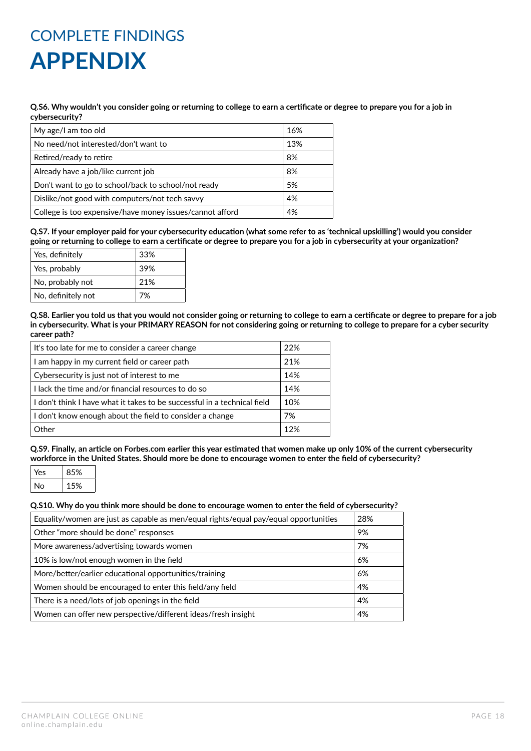#### **Q.S6. Why wouldn't you consider going or returning to college to earn a certificate or degree to prepare you for a job in cybersecurity?**

| My age/I am too old                                      | 16% |
|----------------------------------------------------------|-----|
| No need/not interested/don't want to                     | 13% |
| Retired/ready to retire                                  | 8%  |
| Already have a job/like current job                      | 8%  |
| Don't want to go to school/back to school/not ready      | 5%  |
| Dislike/not good with computers/not tech savvy           | 4%  |
| College is too expensive/have money issues/cannot afford | 4%  |
|                                                          |     |

**Q.S7. If your employer paid for your cybersecurity education (what some refer to as 'technical upskilling') would you consider going or returning to college to earn a certificate or degree to prepare you for a job in cybersecurity at your organization?**

| Yes, definitely    | 33% |
|--------------------|-----|
| Yes, probably      | 39% |
| No, probably not   | 21% |
| No, definitely not | 7%  |

**Q.S8. Earlier you told us that you would not consider going or returning to college to earn a certificate or degree to prepare for a job in cybersecurity. What is your PRIMARY REASON for not considering going or returning to college to prepare for a cyber security career path?**

| It's too late for me to consider a career change                         | 22% |
|--------------------------------------------------------------------------|-----|
| I am happy in my current field or career path                            | 21% |
| Cybersecurity is just not of interest to me                              | 14% |
| I lack the time and/or financial resources to do so                      | 14% |
| I don't think I have what it takes to be successful in a technical field | 10% |
| I don't know enough about the field to consider a change                 | 7%  |
| Other                                                                    | 12% |

**Q.S9. Finally, an article on Forbes.com earlier this year estimated that women make up only 10% of the current cybersecurity workforce in the United States. Should more be done to encourage women to enter the field of cybersecurity?**

| ⁄es | 85% |
|-----|-----|
| ง∩  | 15% |

#### **Q.S10. Why do you think more should be done to encourage women to enter the field of cybersecurity?**

| Equality/women are just as capable as men/equal rights/equal pay/equal opportunities | 28% |
|--------------------------------------------------------------------------------------|-----|
| Other "more should be done" responses                                                | 9%  |
| More awareness/advertising towards women                                             | 7%  |
| 10% is low/not enough women in the field                                             | 6%  |
| More/better/earlier educational opportunities/training                               | 6%  |
| Women should be encouraged to enter this field/any field                             | 4%  |
| There is a need/lots of job openings in the field                                    | 4%  |
| Women can offer new perspective/different ideas/fresh insight                        | 4%  |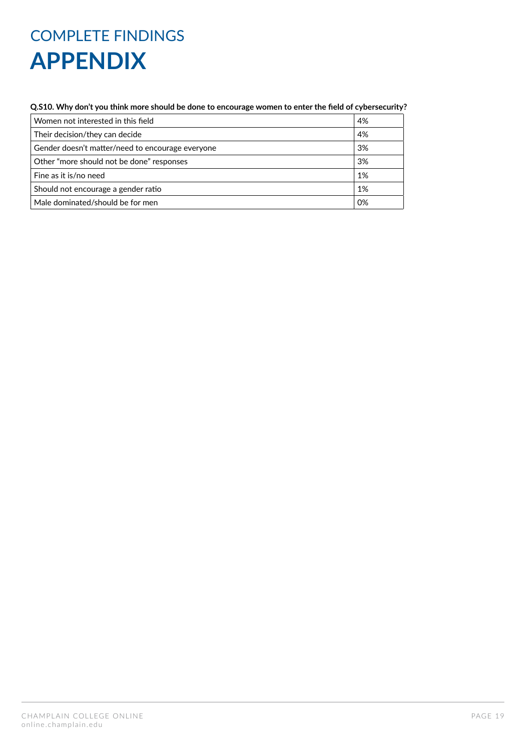#### **Q.S10. Why don't you think more should be done to encourage women to enter the field of cybersecurity?**

| Women not interested in this field               | 4% |
|--------------------------------------------------|----|
| Their decision/they can decide                   | 4% |
| Gender doesn't matter/need to encourage everyone | 3% |
| Other "more should not be done" responses        | 3% |
| Fine as it is/no need                            | 1% |
| Should not encourage a gender ratio              | 1% |
| Male dominated/should be for men                 | 0% |
|                                                  |    |